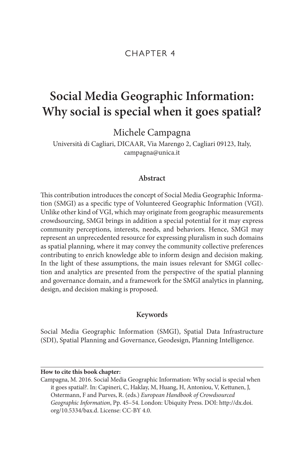# CHAPTER 4

# **Social Media Geographic Information: Why social is special when it goes spatial?**

Michele Campagna

Università di Cagliari, DICAAR, Via Marengo 2, Cagliari 09123, Italy, [campagna@unica.it](mailto:campagna@unica.it)

# **Abstract**

This contribution introduces the concept of Social Media Geographic Information (SMGI) as a specific type of Volunteered Geographic Information (VGI). Unlike other kind of VGI, which may originate from geographic measurements crowdsourcing, SMGI brings in addition a special potential for it may express community perceptions, interests, needs, and behaviors. Hence, SMGI may represent an unprecedented resource for expressing pluralism in such domains as spatial planning, where it may convey the community collective preferences contributing to enrich knowledge able to inform design and decision making. In the light of these assumptions, the main issues relevant for SMGI collection and analytics are presented from the perspective of the spatial planning and governance domain, and a framework for the SMGI analytics in planning, design, and decision making is proposed.

# **Keywords**

Social Media Geographic Information (SMGI), Spatial Data Infrastructure (SDI), Spatial Planning and Governance, Geodesign, Planning Intelligence.

#### **How to cite this book chapter:**

Campagna, M. 2016. Social Media Geographic Information: Why social is special when it goes spatial?. In: Capineri, C, Haklay, M, Huang, H, Antoniou, V, Kettunen, J, Ostermann, F and Purves, R. (eds.) *European Handbook of Crowdsourced Geographic Information*, Pp. 45–54. London: Ubiquity Press. DOI: [http://dx.doi.](http://dx.doi.org/10.5334/bax.d) [org/10.5334/bax.d](http://dx.doi.org/10.5334/bax.d). License: CC-BY 4.0.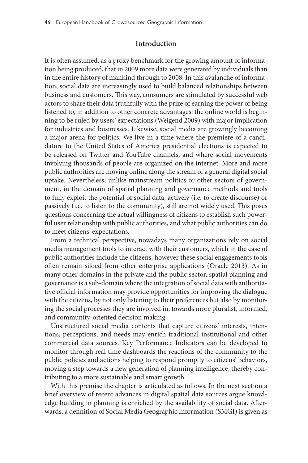# **Introduction**

It is often assumed, as a proxy benchmark for the growing amount of information being produced, that in 2009 more data were generated by individuals than in the entire history of mankind through to 2008. In this avalanche of information, social data are increasingly used to build balanced relationships between business and customers. This way, consumers are stimulated by successful web actors to share their data truthfully with the prize of earning the power of being listened to, in addition to other concrete advantages: the online world is beginning to be ruled by users' expectations (Weigend 2009) with major implication for industries and businesses. Likewise, social media are growingly becoming a major arena for politics. We live in a time where the premiere of a candidature to the United States of America presidential elections is expected to be released on Twitter and YouTube channels, and where social movements involving thousands of people are organized on the internet. More and more public authorities are moving online along the stream of a general digital social uptake. Nevertheless, unlike mainstream politics or other sectors of government, in the domain of spatial planning and governance methods and tools to fully exploit the potential of social data, actively (i.e. to create discourse) or passively (i.e. to listen to the community), still are not widely used. This poses questions concerning the actual willingness of citizens to establish such powerful user relationship with public authorities, and what public authorities can do to meet citizens' expectations.

From a technical perspective, nowadays many organizations rely on social media management tools to interact with their customers, which in the case of public authorities include the citizens; however these social engagements tools often remain siloed from other enterprise applications (Oracle 2013). As in many other domains in the private and the public sector, spatial planning and governance is a sub-domain where the integration of social data with authoritative official information may provide opportunities for improving the dialogue with the citizens, by not only listening to their preferences but also by monitoring the social processes they are involved in, towards more pluralist, informed, and community-oriented decision making.

Unstructured social media contents that capture citizens' interests, intentions, perceptions, and needs may enrich traditional institutional and other commercial data sources. Key Performance Indicators can be developed to monitor through real time dashboards the reactions of the community to the public policies and actions helping to respond promptly to citizens' behaviors, moving a step towards a new generation of planning intelligence, thereby contributing to a more sustainable and smart growth.

With this premise the chapter is articulated as follows. In the next section a brief overview of recent advances in digital spatial data sources argue knowledge building in planning is enriched by the availability of social data. Afterwards, a definition of Social Media Geographic Information (SMGI) is given as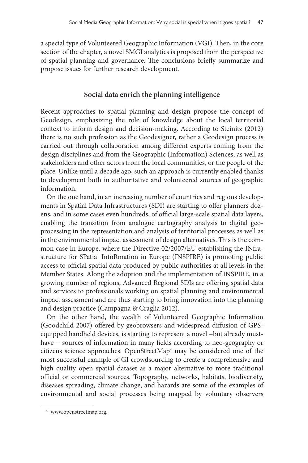a special type of Volunteered Geographic Information (VGI). Then, in the core section of the chapter, a novel SMGI analytics is proposed from the perspective of spatial planning and governance. The conclusions briefly summarize and propose issues for further research development.

# **Social data enrich the planning intelligence**

Recent approaches to spatial planning and design propose the concept of Geodesign, emphasizing the role of knowledge about the local territorial context to inform design and decision-making. According to Steinitz (2012) there is no such profession as the Geodesigner, rather a Geodesign process is carried out through collaboration among different experts coming from the design disciplines and from the Geographic (Information) Sciences, as well as stakeholders and other actors from the local communities, or the people of the place. Unlike until a decade ago, such an approach is currently enabled thanks to development both in authoritative and volunteered sources of geographic information.

On the one hand, in an increasing number of countries and regions developments in Spatial Data Infrastructures (SDI) are starting to offer planners dozens, and in some cases even hundreds, of official large-scale spatial data layers, enabling the transition from analogue cartography analysis to digital geoprocessing in the representation and analysis of territorial processes as well as in the environmental impact assessment of design alternatives. This is the common case in Europe, where the Directive 02/2007/EU establishing the INfrastructure for SPatial InfoRmation in Europe (INSPIRE) is promoting public access to official spatial data produced by public authorities at all levels in the Member States. Along the adoption and the implementation of INSPIRE, in a growing number of regions, Advanced Regional SDIs are offering spatial data and services to professionals working on spatial planning and environmental impact assessment and are thus starting to bring innovation into the planning and design practice (Campagna & Craglia 2012).

On the other hand, the wealth of Volunteered Geographic Information (Goodchild 2007) offered by geobrowsers and widespread diffusion of GPSequipped handheld devices, is starting to represent a novel −but already musthave − sources of information in many fields according to neo-geography or citizens science approaches. OpenStreetMap<sup>[4](#page-2-0)</sup> may be considered one of the most successful example of GI crowdsourcing to create a comprehensive and high quality open spatial dataset as a major alternative to more traditional official or commercial sources. Topography, networks, habitats, biodiversity, diseases spreading, climate change, and hazards are some of the examples of environmental and social processes being mapped by voluntary observers

<span id="page-2-0"></span><sup>4</sup> [www.openstreetmap.org.](www.openstreetmap.org)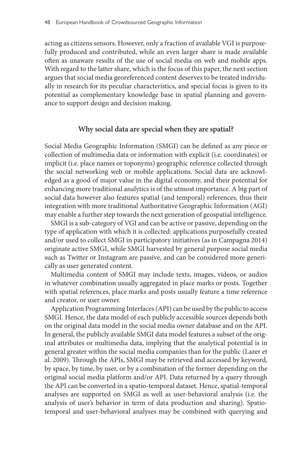acting as citizens sensors. However, only a fraction of available VGI is purposefully produced and contributed, while an even larger share is made available often as unaware results of the use of social media on web and mobile apps. With regard to the latter share, which is the focus of this paper, the next section argues that social media georeferenced content deserves to be treated individually in research for its peculiar characteristics, and special focus is given to its potential as complementary knowledge base in spatial planning and governance to support design and decision making.

#### **Why social data are special when they are spatial?**

Social Media Geographic Information (SMGI) can be defined as any piece or collection of multimedia data or information with explicit (i.e. coordinates) or implicit (i.e. place names or toponyms) geographic reference collected through the social networking web or mobile applications. Social data are acknowledged as a good of major value in the digital economy, and their potential for enhancing more traditional analytics is of the utmost importance. A big part of social data however also features spatial (and temporal) references, thus their integration with more traditional Authoritative Geographic Information (AGI) may enable a further step towards the next generation of geospatial intelligence.

SMGI is a sub-category of VGI and can be active or passive, depending on the type of application with which it is collected: applications purposefully created and/or used to collect SMGI in participatory initiatives (as in Campagna 2014) originate active SMGI, while SMGI harvested by general purpose social media such as Twitter or Instagram are passive, and can be considered more generically as user generated content.

Multimedia content of SMGI may include texts, images, videos, or audios in whatever combination usually aggregated in place marks or posts. Together with spatial references, place marks and posts usually feature a time reference and creator, or user owner.

Application Programming Interfaces (API) can be used by the public to access SMGI. Hence, the data model of each publicly accessible sources depends both on the original data model in the social media owner database and on the API. In general, the publicly available SMGI data model features a subset of the original attributes or multimedia data, implying that the analytical potential is in general greater within the social media companies than for the public (Lazer et al. 2009). Through the APIs, SMGI may be retrieved and accessed by keyword, by space, by time, by user, or by a combination of the former depending on the original social media platform and/or API. Data returned by a query through the API can be converted in a spatio-temporal dataset. Hence, spatial-temporal analyses are supported on SMGI as well as user-behavioral analysis (i.e. the analysis of user's behavior in term of data production and sharing). Spatiotemporal and user-behavioral analyses may be combined with querying and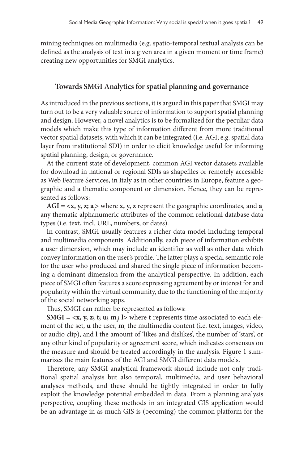mining techniques on multimedia (e.g. spatio-temporal textual analysis can be defined as the analysis of text in a given area in a given moment or time frame) creating new opportunities for SMGI analytics.

## **Towards SMGI Analytics for spatial planning and governance**

As introduced in the previous sections, it is argued in this paper that SMGI may turn out to be a very valuable source of information to support spatial planning and design. However, a novel analytics is to be formalized for the peculiar data models which make this type of information different from more traditional vector spatial datasets, with which it can be integrated (i.e. AGI; e.g. spatial data layer from institutional SDI) in order to elicit knowledge useful for informing spatial planning, design, or governance.

At the current state of development, common AGI vector datasets available for download in national or regional SDIs as shapefiles or remotely accessible as Web Feature Services, in Italy as in other countries in Europe, feature a geographic and a thematic component or dimension. Hence, they can be represented as follows:

**AGI = <x, y, z; a<sub>i</sub>> where <b>x, y, z** represent the geographic coordinates, and **a**<sub>i</sub> any thematic alphanumeric attributes of the common relational database data types (i.e. text, incl. URL, numbers, or dates).

In contrast, SMGI usually features a richer data model including temporal and multimedia components. Additionally, each piece of information exhibits a user dimension, which may include an identifier as well as other data which convey information on the user's profile. The latter plays a special semantic role for the user who produced and shared the single piece of information becoming a dominant dimension from the analytical perspective. In addition, each piece of SMGI often features a score expressing agreement by or interest for and popularity within the virtual community, due to the functioning of the majority of the social networking apps.

Thus, SMGI can rather be represented as follows:

**SMGI = <x, y, z; t; u; m<sub>i</sub>; l>** where **t** represents time associated to each element of the set, **u** the user, **mi** the multimedia content (i.e. text, images, video, or audio clip), and **l** the amount of 'likes and dislikes', the number of 'stars', or any other kind of popularity or agreement score, which indicates consensus on the measure and should be treated accordingly in the analysis. [Figure 1](#page-5-0) summarizes the main features of the AGI and SMGI different data models.

Therefore, any SMGI analytical framework should include not only traditional spatial analysis but also temporal, multimedia, and user behavioral analyses methods, and these should be tightly integrated in order to fully exploit the knowledge potential embedded in data. From a planning analysis perspective, coupling these methods in an integrated GIS application would be an advantage in as much GIS is (becoming) the common platform for the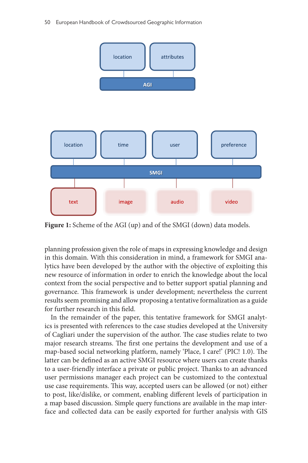50 European Handbook of Crowdsourced Geographic Information



<span id="page-5-0"></span>**Figure 1:** Scheme of the AGI (up) and of the SMGI (down) data models.

planning profession given the role of maps in expressing knowledge and design in this domain. With this consideration in mind, a framework for SMGI analytics have been developed by the author with the objective of exploiting this new resource of information in order to enrich the knowledge about the local context from the social perspective and to better support spatial planning and governance. This framework is under development; nevertheless the current results seem promising and allow proposing a tentative formalization as a guide for further research in this field.

In the remainder of the paper, this tentative framework for SMGI analytics is presented with references to the case studies developed at the University of Cagliari under the supervision of the author. The case studies relate to two major research streams. The first one pertains the development and use of a map-based social networking platform, namely 'Place, I care!' (PIC! 1.0). The latter can be defined as an active SMGI resource where users can create thanks to a user-friendly interface a private or public project. Thanks to an advanced user permissions manager each project can be customized to the contextual use case requirements. This way, accepted users can be allowed (or not) either to post, like/dislike, or comment, enabling different levels of participation in a map based discussion. Simple query functions are available in the map interface and collected data can be easily exported for further analysis with GIS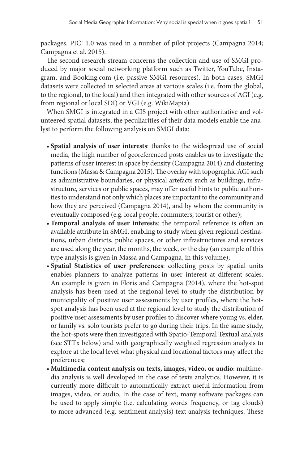packages. PIC! 1.0 was used in a number of pilot projects (Campagna 2014; Campagna et al. 2015).

The second research stream concerns the collection and use of SMGI produced by major social networking platform such as Twitter, YouTube, Instagram, and Booking.com (i.e. passive SMGI resources). In both cases, SMGI datasets were collected in selected areas at various scales (i.e. from the global, to the regional, to the local) and then integrated with other sources of AGI (e.g. from regional or local SDI) or VGI (e.g. WikiMapia).

When SMGI is integrated in a GIS project with other authoritative and volunteered spatial datasets, the peculiarities of their data models enable the analyst to perform the following analysis on SMGI data:

- **Spatial analysis of user interests**: thanks to the widespread use of social media, the high number of georeferenced posts enables us to investigate the patterns of user interest in space by density (Campagna 2014) and clustering functions (Massa & Campagna 2015). The overlay with topographic AGI such as administrative boundaries, or physical artefacts such as buildings, infrastructure, services or public spaces, may offer useful hints to public authorities to understand not only which places are important to the community and how they are perceived (Campagna 2014), and by whom the community is eventually composed (e.g. local people, commuters, tourist or other);
- **Temporal analysis of user interests**: the temporal reference is often an available attribute in SMGI, enabling to study when given regional destinations, urban districts, public spaces, or other infrastructures and services are used along the year, the months, the week, or the day (an example of this type analysis is given in Massa and Campagna, in this volume);
- **Spatial Statistics of user preferences**: collecting posts by spatial units enables planners to analyze patterns in user interest at different scales. An example is given in Floris and Campagna (2014), where the hot-spot analysis has been used at the regional level to study the distribution by municipality of positive user assessments by user profiles, where the hotspot analysis has been used at the regional level to study the distribution of positive user assessments by user profiles to discover where young vs. elder, or family vs. solo tourists prefer to go during their trips. In the same study, the hot-spots were then investigated with Spatio-Temporal Textual analysis (see STTx below) and with geographically weighted regression analysis to explore at the local level what physical and locational factors may affect the preferences;
- **Multimedia content analysis on texts, images, video, or audio**: multimedia analysis is well developed in the case of texts analytics. However, it is currently more difficult to automatically extract useful information from images, video, or audio. In the case of text, many software packages can be used to apply simple (i.e. calculating words frequency, or tag clouds) to more advanced (e.g. sentiment analysis) text analysis techniques. These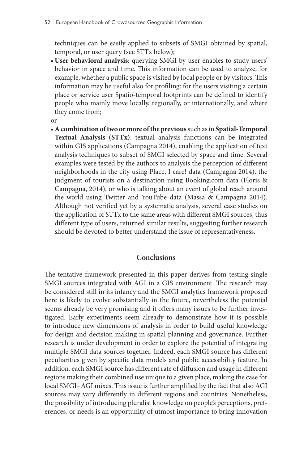techniques can be easily applied to subsets of SMGI obtained by spatial, temporal, or user query (see STTx below);

• **User behavioral analysis**: querying SMGI by user enables to study users' behavior in space and time. This information can be used to analyze, for example, whether a public space is visited by local people or by visitors. This information may be useful also for profiling: for the users visiting a certain place or service user Spatio-temporal footprints can be defined to identify people who mainly move locally, regionally, or internationally, and where they come from;

or

• **A combination of two or more of the previous** such as in **Spatial-Temporal Textual Analysis (STTx)**: textual analysis functions can be integrated within GIS applications (Campagna 2014), enabling the application of text analysis techniques to subset of SMGI selected by space and time. Several examples were tested by the authors to analysis the perception of different neighborhoods in the city using Place, I care! data (Campagna 2014), the judgment of tourists on a destination using Booking.com data (Floris & Campagna, 2014), or who is talking about an event of global reach around the world using Twitter and YouTube data (Massa & Campagna 2014). Although not verified yet by a systematic analysis, several case studies on the application of STTx to the same areas with different SMGI sources, thus different type of users, returned similar results, suggesting further research should be devoted to better understand the issue of representativeness.

## **Conclusions**

The tentative framework presented in this paper derives from testing single SMGI sources integrated with AGI in a GIS environment. The research may be considered still in its infancy and the SMGI analytics framework proposed here is likely to evolve substantially in the future, nevertheless the potential seems already be very promising and it offers many issues to be further investigated. Early experiments seem already to demonstrate how it is possible to introduce new dimensions of analysis in order to build useful knowledge for design and decision making in spatial planning and governance. Further research is under development in order to explore the potential of integrating multiple SMGI data sources together. Indeed, each SMGI source has different peculiarities given by specific data models and public accessibility feature. In addition, each SMGI source has different rate of diffusion and usage in different regions making their combined use unique to a given place, making the case for local SMGI−AGI mixes. This issue is further amplified by the fact that also AGI sources may vary differently in different regions and countries. Nonetheless, the possibility of introducing pluralist knowledge on people's perceptions, preferences, or needs is an opportunity of utmost importance to bring innovation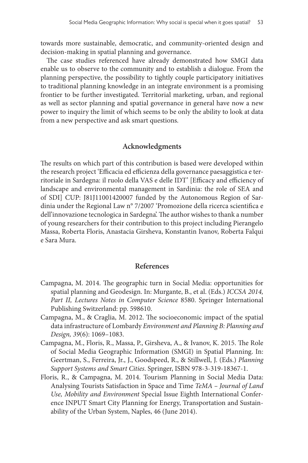towards more sustainable, democratic, and community-oriented design and decision-making in spatial planning and governance.

The case studies referenced have already demonstrated how SMGI data enable us to observe to the community and to establish a dialogue. From the planning perspective, the possibility to tightly couple participatory initiatives to traditional planning knowledge in an integrate environment is a promising frontier to be further investigated. Territorial marketing, urban, and regional as well as sector planning and spatial governance in general have now a new power to inquiry the limit of which seems to be only the ability to look at data from a new perspective and ask smart questions.

#### **Acknowledgments**

The results on which part of this contribution is based were developed within the research project 'Efficacia ed efficienza della governance paesaggistica e territoriale in Sardegna: il ruolo della VAS e delle IDT' [Efficacy and efficiency of landscape and environmental management in Sardinia: the role of SEA and of SDI] CUP: J81J11001420007 funded by the Autonomous Region of Sardinia under the Regional Law n° 7/2007 'Promozione della ricerca scientifica e dell'innovazione tecnologica in Sardegna'. The author wishes to thank a number of young researchers for their contribution to this project including Pierangelo Massa, Roberta Floris, Anastacia Girsheva, Konstantin Ivanov, Roberta Falqui e Sara Mura.

## **References**

- Campagna, M. 2014. The geographic turn in Social Media: opportunities for spatial planning and Geodesign. In: Murgante, B., et al. (Eds.) *ICCSA 2014, Part II, Lectures Notes in Computer Science* 8580. Springer International Publishing Switzerland: pp. 598610.
- Campagna, M., & Craglia, M. 2012. The socioeconomic impact of the spatial data infrastructure of Lombardy *Environment and Planning B: Planning and Design, 39*(6): 1069–1083.
- Campagna, M., Floris, R., Massa, P., Girsheva, A., & Ivanov, K. 2015. The Role of Social Media Geographic Information (SMGI) in Spatial Planning. In: Geertman, S., Ferreira, Jr., J., Goodspeed, R., & Stillwell, J. (Eds.) *Planning Support Systems and Smart Cities*. Springer, ISBN 978-3-319-18367-1.
- Floris, R., & Campagna, M. 2014. Tourism Planning in Social Media Data: Analysing Tourists Satisfaction in Space and Time *TeMA – Journal of Land Use, Mobility and Environment* Special Issue Eighth International Conference INPUT Smart City Planning for Energy, Transportation and Sustainability of the Urban System, Naples, 46 (June 2014).